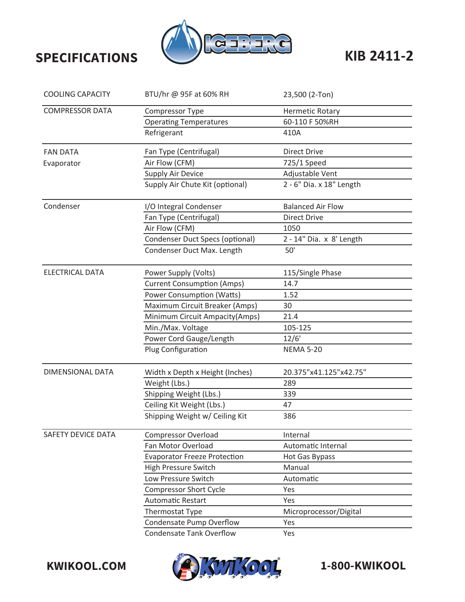

| <b>COOLING CAPACITY</b> | BTU/hr @ 95F at 60% RH              | 23,500 (2-Ton)           |
|-------------------------|-------------------------------------|--------------------------|
| <b>COMPRESSOR DATA</b>  | Compressor Type                     | <b>Hermetic Rotary</b>   |
|                         | <b>Operating Temperatures</b>       | 60-110 F 50%RH           |
|                         | Refrigerant                         | 410A                     |
| <b>FAN DATA</b>         | Fan Type (Centrifugal)              | <b>Direct Drive</b>      |
| Evaporator              | Air Flow (CFM)                      | 725/1 Speed              |
|                         | Supply Air Device                   | Adjustable Vent          |
|                         | Supply Air Chute Kit (optional)     | 2 - 6" Dia. x 18" Length |
| Condenser               | I/O Integral Condenser              | <b>Balanced Air Flow</b> |
|                         | Fan Type (Centrifugal)              | <b>Direct Drive</b>      |
|                         | Air Flow (CFM)                      | 1050                     |
|                         | Condenser Duct Specs (optional)     | 2 - 14" Dia. x 8' Length |
|                         | Condenser Duct Max. Length          | 50'                      |
| <b>ELECTRICAL DATA</b>  | Power Supply (Volts)                | 115/Single Phase         |
|                         | <b>Current Consumption (Amps)</b>   | 14.7                     |
|                         | <b>Power Consumption (Watts)</b>    | 1.52                     |
|                         | Maximum Circuit Breaker (Amps)      | 30                       |
|                         | Minimum Circuit Ampacity(Amps)      | 21.4                     |
|                         | Min./Max. Voltage                   | 105-125                  |
|                         | Power Cord Gauge/Length             | 12/6'                    |
|                         | Plug Configuration                  | <b>NEMA 5-20</b>         |
| DIMENSIONAL DATA        | Width x Depth x Height (Inches)     | 20.375"x41.125"x42.75"   |
|                         | Weight (Lbs.)                       | 289                      |
|                         | Shipping Weight (Lbs.)              | 339                      |
|                         | Ceiling Kit Weight (Lbs.)           | 47                       |
|                         | Shipping Weight w/ Ceiling Kit      | 386                      |
| SAFETY DEVICE DATA      | <b>Compressor Overload</b>          | Internal                 |
|                         | Fan Motor Overload                  | Automatic Internal       |
|                         | <b>Evaporator Freeze Protection</b> | Hot Gas Bypass           |
|                         | High Pressure Switch                | Manual                   |
|                         | Low Pressure Switch                 | Automatic                |
|                         | <b>Compressor Short Cycle</b>       | Yes                      |
|                         | <b>Automatic Restart</b>            | Yes                      |
|                         | <b>Thermostat Type</b>              | Microprocessor/Digital   |
|                         | Condensate Pump Overflow            | Yes                      |
|                         | <b>Condensate Tank Overflow</b>     | Yes                      |



-800-KWIKOOL